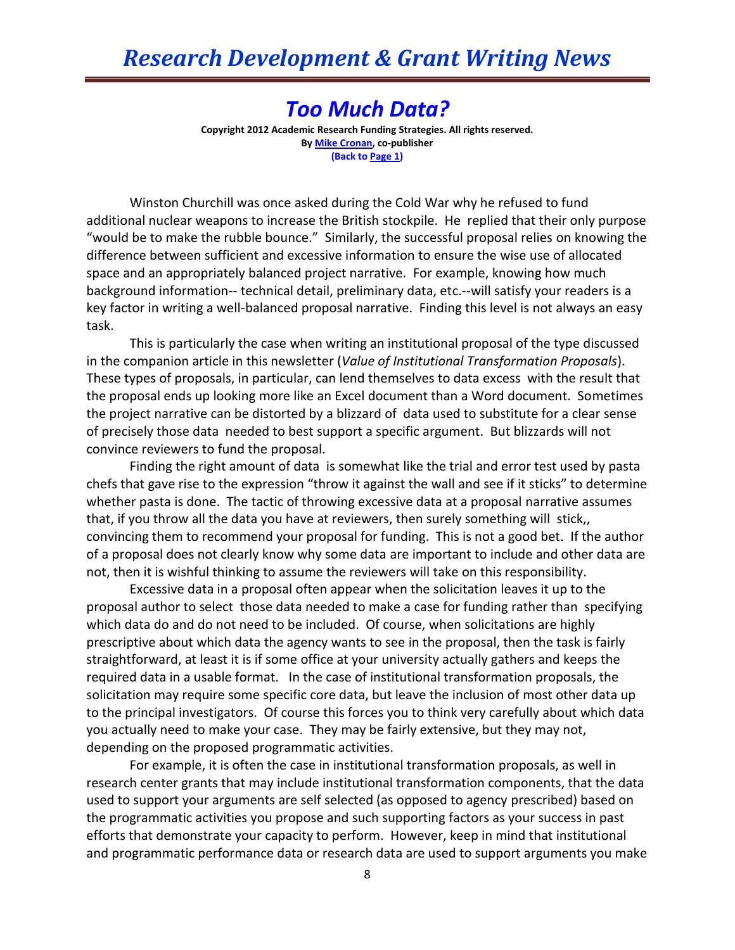## *Too Much Data?*

**Copyright 2012 Academic Research Funding Strategies. All rights reserved. B[y Mike Cronan,](mailto:mjcronan@gmail.com) co-publisher (Back to Page 1)**

Winston Churchill was once asked during the Cold War why he refused to fund additional nuclear weapons to increase the British stockpile. He replied that their only purpose "would be to make the rubble bounce." Similarly, the successful proposal relies on knowing the difference between sufficient and excessive information to ensure the wise use of allocated space and an appropriately balanced project narrative. For example, knowing how much background information-- technical detail, preliminary data, etc.--will satisfy your readers is a key factor in writing a well-balanced proposal narrative. Finding this level is not always an easy task.

This is particularly the case when writing an institutional proposal of the type discussed in the companion article in this newsletter (*Value of Institutional Transformation Proposals*). These types of proposals, in particular, can lend themselves to data excess with the result that the proposal ends up looking more like an Excel document than a Word document. Sometimes the project narrative can be distorted by a blizzard of data used to substitute for a clear sense of precisely those data needed to best support a specific argument. But blizzards will not convince reviewers to fund the proposal.

Finding the right amount of data is somewhat like the trial and error test used by pasta chefs that gave rise to the expression "throw it against the wall and see if it sticks" to determine whether pasta is done. The tactic of throwing excessive data at a proposal narrative assumes that, if you throw all the data you have at reviewers, then surely something will stick,, convincing them to recommend your proposal for funding. This is not a good bet. If the author of a proposal does not clearly know why some data are important to include and other data are not, then it is wishful thinking to assume the reviewers will take on this responsibility.

Excessive data in a proposal often appear when the solicitation leaves it up to the proposal author to select those data needed to make a case for funding rather than specifying which data do and do not need to be included. Of course, when solicitations are highly prescriptive about which data the agency wants to see in the proposal, then the task is fairly straightforward, at least it is if some office at your university actually gathers and keeps the required data in a usable format. In the case of institutional transformation proposals, the solicitation may require some specific core data, but leave the inclusion of most other data up to the principal investigators. Of course this forces you to think very carefully about which data you actually need to make your case. They may be fairly extensive, but they may not, depending on the proposed programmatic activities.

For example, it is often the case in institutional transformation proposals, as well in research center grants that may include institutional transformation components, that the data used to support your arguments are self selected (as opposed to agency prescribed) based on the programmatic activities you propose and such supporting factors as your success in past efforts that demonstrate your capacity to perform. However, keep in mind that institutional and programmatic performance data or research data are used to support arguments you make